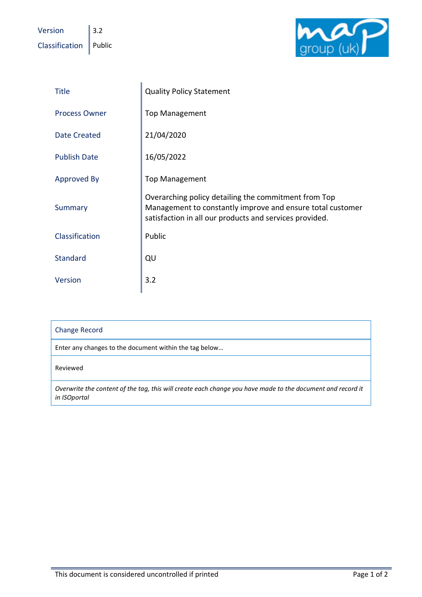Version  $\|$  3.2  $\text{Classification}$  Public



| <b>Title</b>         | <b>Quality Policy Statement</b>                                                                                                                                               |
|----------------------|-------------------------------------------------------------------------------------------------------------------------------------------------------------------------------|
| <b>Process Owner</b> | <b>Top Management</b>                                                                                                                                                         |
| <b>Date Created</b>  | 21/04/2020                                                                                                                                                                    |
| <b>Publish Date</b>  | 16/05/2022                                                                                                                                                                    |
| Approved By          | <b>Top Management</b>                                                                                                                                                         |
| Summary              | Overarching policy detailing the commitment from Top<br>Management to constantly improve and ensure total customer<br>satisfaction in all our products and services provided. |
| Classification       | Public                                                                                                                                                                        |
| <b>Standard</b>      | QU                                                                                                                                                                            |
| Version              | 3.2                                                                                                                                                                           |

| <b>Change Record</b>                                                                                                       |  |
|----------------------------------------------------------------------------------------------------------------------------|--|
| Enter any changes to the document within the tag below                                                                     |  |
| Reviewed                                                                                                                   |  |
| Overwrite the content of the tag, this will create each change you have made to the document and record it<br>in ISOportal |  |